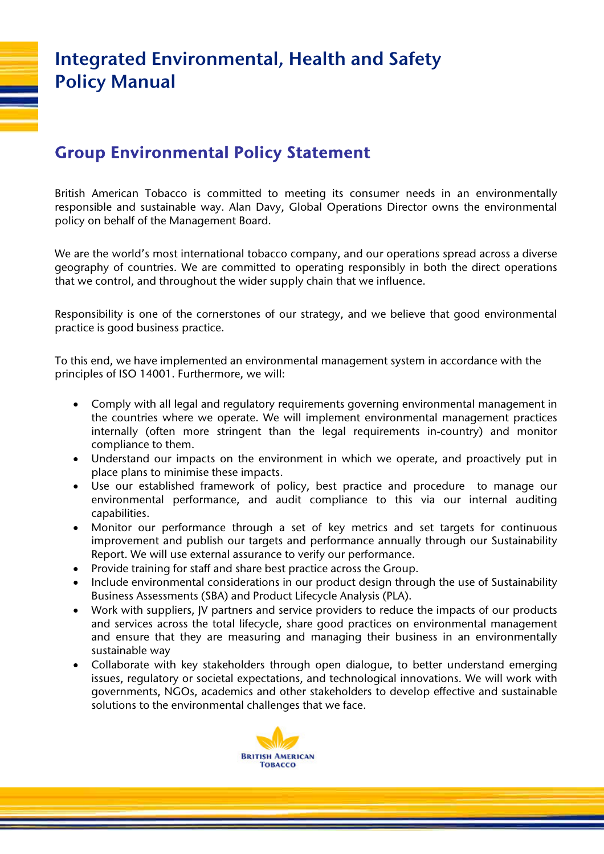# **Integrated Environmental, Health and Safety Policy Manual**

### **Group Environmental Policy Statement**

British American Tobacco is committed to meeting its consumer needs in an environmentally responsible and sustainable way. Alan Davy, Global Operations Director owns the environmental policy on behalf of the Management Board.

We are the world's most international tobacco company, and our operations spread across a diverse geography of countries. We are committed to operating responsibly in both the direct operations that we control, and throughout the wider supply chain that we influence.

Responsibility is one of the cornerstones of our strategy, and we believe that good environmental practice is good business practice.

To this end, we have implemented an environmental management system in accordance with the principles of ISO 14001. Furthermore, we will:

- Comply with all legal and regulatory requirements governing environmental management in the countries where we operate. We will implement environmental management practices internally (often more stringent than the legal requirements in-country) and monitor compliance to them.
- Understand our impacts on the environment in which we operate, and proactively put in place plans to minimise these impacts.
- Use our established framework of policy, best practice and procedure to manage our environmental performance, and audit compliance to this via our internal auditing capabilities.
- Monitor our performance through a set of key metrics and set targets for continuous improvement and publish our targets and performance annually through our Sustainability Report. We will use external assurance to verify our performance.
- Provide training for staff and share best practice across the Group.
- Include environmental considerations in our product design through the use of Sustainability Business Assessments (SBA) and Product Lifecycle Analysis (PLA).
- Work with suppliers, JV partners and service providers to reduce the impacts of our products and services across the total lifecycle, share good practices on environmental management and ensure that they are measuring and managing their business in an environmentally sustainable way
- Collaborate with key stakeholders through open dialogue, to better understand emerging issues, regulatory or societal expectations, and technological innovations. We will work with governments, NGOs, academics and other stakeholders to develop effective and sustainable solutions to the environmental challenges that we face.